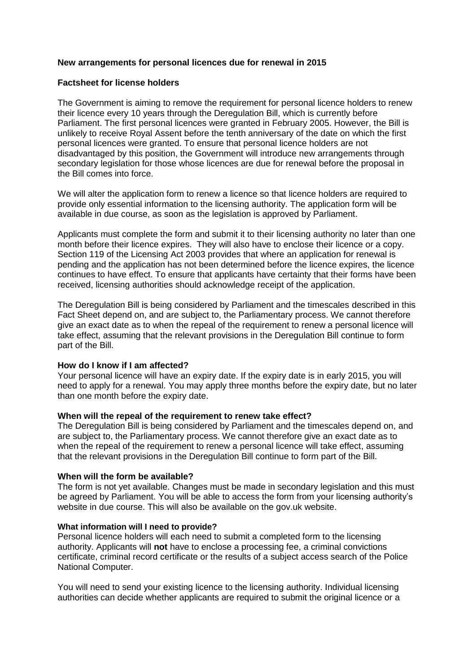# **New arrangements for personal licences due for renewal in 2015**

## **Factsheet for license holders**

The Government is aiming to remove the requirement for personal licence holders to renew their licence every 10 years through the Deregulation Bill, which is currently before Parliament. The first personal licences were granted in February 2005. However, the Bill is unlikely to receive Royal Assent before the tenth anniversary of the date on which the first personal licences were granted. To ensure that personal licence holders are not disadvantaged by this position, the Government will introduce new arrangements through secondary legislation for those whose licences are due for renewal before the proposal in the Bill comes into force.

We will alter the application form to renew a licence so that licence holders are required to provide only essential information to the licensing authority. The application form will be available in due course, as soon as the legislation is approved by Parliament.

Applicants must complete the form and submit it to their licensing authority no later than one month before their licence expires. They will also have to enclose their licence or a copy. Section 119 of the Licensing Act 2003 provides that where an application for renewal is pending and the application has not been determined before the licence expires, the licence continues to have effect. To ensure that applicants have certainty that their forms have been received, licensing authorities should acknowledge receipt of the application.

The Deregulation Bill is being considered by Parliament and the timescales described in this Fact Sheet depend on, and are subject to, the Parliamentary process. We cannot therefore give an exact date as to when the repeal of the requirement to renew a personal licence will take effect, assuming that the relevant provisions in the Deregulation Bill continue to form part of the Bill.

#### **How do I know if I am affected?**

Your personal licence will have an expiry date. If the expiry date is in early 2015, you will need to apply for a renewal. You may apply three months before the expiry date, but no later than one month before the expiry date.

#### **When will the repeal of the requirement to renew take effect?**

The Deregulation Bill is being considered by Parliament and the timescales depend on, and are subject to, the Parliamentary process. We cannot therefore give an exact date as to when the repeal of the requirement to renew a personal licence will take effect, assuming that the relevant provisions in the Deregulation Bill continue to form part of the Bill.

#### **When will the form be available?**

The form is not yet available. Changes must be made in secondary legislation and this must be agreed by Parliament. You will be able to access the form from your licensing authority's website in due course. This will also be available on the gov.uk website.

#### **What information will I need to provide?**

Personal licence holders will each need to submit a completed form to the licensing authority. Applicants will **not** have to enclose a processing fee, a criminal convictions certificate, criminal record certificate or the results of a subject access search of the Police National Computer.

You will need to send your existing licence to the licensing authority. Individual licensing authorities can decide whether applicants are required to submit the original licence or a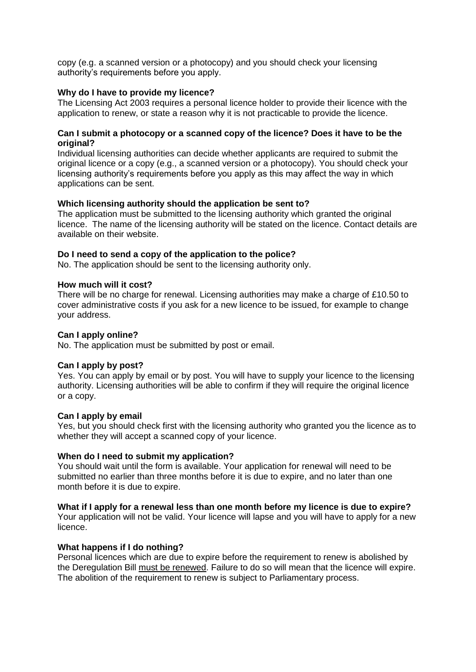copy (e.g. a scanned version or a photocopy) and you should check your licensing authority's requirements before you apply.

# **Why do I have to provide my licence?**

The Licensing Act 2003 requires a personal licence holder to provide their licence with the application to renew, or state a reason why it is not practicable to provide the licence.

### **Can I submit a photocopy or a scanned copy of the licence? Does it have to be the original?**

Individual licensing authorities can decide whether applicants are required to submit the original licence or a copy (e.g., a scanned version or a photocopy). You should check your licensing authority's requirements before you apply as this may affect the way in which applications can be sent.

# **Which licensing authority should the application be sent to?**

The application must be submitted to the licensing authority which granted the original licence. The name of the licensing authority will be stated on the licence. Contact details are available on their website.

# **Do I need to send a copy of the application to the police?**

No. The application should be sent to the licensing authority only.

#### **How much will it cost?**

There will be no charge for renewal. Licensing authorities may make a charge of £10.50 to cover administrative costs if you ask for a new licence to be issued, for example to change your address.

### **Can I apply online?**

No. The application must be submitted by post or email.

#### **Can I apply by post?**

Yes. You can apply by email or by post. You will have to supply your licence to the licensing authority. Licensing authorities will be able to confirm if they will require the original licence or a copy.

#### **Can I apply by email**

Yes, but you should check first with the licensing authority who granted you the licence as to whether they will accept a scanned copy of your licence.

#### **When do I need to submit my application?**

You should wait until the form is available. Your application for renewal will need to be submitted no earlier than three months before it is due to expire, and no later than one month before it is due to expire.

#### **What if I apply for a renewal less than one month before my licence is due to expire?**

Your application will not be valid. Your licence will lapse and you will have to apply for a new licence.

#### **What happens if I do nothing?**

Personal licences which are due to expire before the requirement to renew is abolished by the Deregulation Bill must be renewed. Failure to do so will mean that the licence will expire. The abolition of the requirement to renew is subject to Parliamentary process.